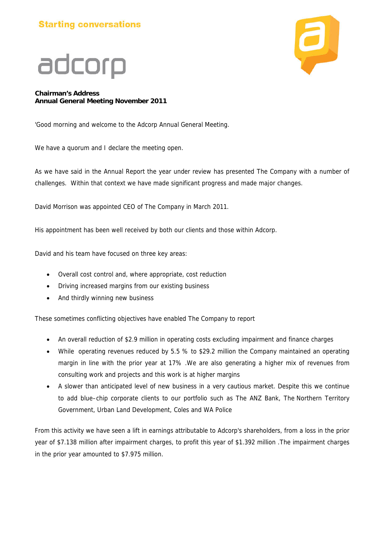### **Starting conversations**



### adcorp

#### **Chairman's Address Annual General Meeting November 2011**

'Good morning and welcome to the Adcorp Annual General Meeting.

We have a quorum and I declare the meeting open.

As we have said in the Annual Report the year under review has presented The Company with a number of challenges. Within that context we have made significant progress and made major changes.

David Morrison was appointed CEO of The Company in March 2011.

His appointment has been well received by both our clients and those within Adcorp.

David and his team have focused on three key areas:

- Overall cost control and, where appropriate, cost reduction
- Driving increased margins from our existing business
- And thirdly winning new business

These sometimes conflicting objectives have enabled The Company to report

- An overall reduction of \$2.9 million in operating costs excluding impairment and finance charges
- While operating revenues reduced by 5.5 % to \$29.2 million the Company maintained an operating margin in line with the prior year at 17% .We are also generating a higher mix of revenues from consulting work and projects and this work is at higher margins
- A slower than anticipated level of new business in a very cautious market. Despite this we continue to add blue–chip corporate clients to our portfolio such as The ANZ Bank, The Northern Territory Government, Urban Land Development, Coles and WA Police

From this activity we have seen a lift in earnings attributable to Adcorp's shareholders, from a loss in the prior year of \$7.138 million after impairment charges, to profit this year of \$1.392 million .The impairment charges in the prior year amounted to \$7.975 million.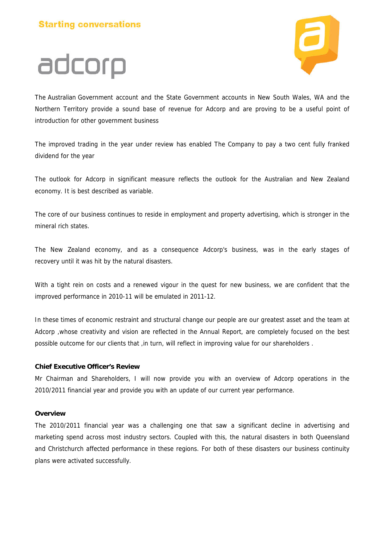adcorp



The Australian Government account and the State Government accounts in New South Wales, WA and the Northern Territory provide a sound base of revenue for Adcorp and are proving to be a useful point of introduction for other government business

The improved trading in the year under review has enabled The Company to pay a two cent fully franked dividend for the year

The outlook for Adcorp in significant measure reflects the outlook for the Australian and New Zealand economy. It is best described as variable.

The core of our business continues to reside in employment and property advertising, which is stronger in the mineral rich states.

The New Zealand economy, and as a consequence Adcorp's business, was in the early stages of recovery until it was hit by the natural disasters.

With a tight rein on costs and a renewed vigour in the quest for new business, we are confident that the improved performance in 2010-11 will be emulated in 2011-12.

In these times of economic restraint and structural change our people are our greatest asset and the team at Adcorp ,whose creativity and vision are reflected in the Annual Report, are completely focused on the best possible outcome for our clients that , in turn, will reflect in improving value for our shareholders.

#### **Chief Executive Officer's Review**

Mr Chairman and Shareholders, I will now provide you with an overview of Adcorp operations in the 2010/2011 financial year and provide you with an update of our current year performance.

#### **Overview**

The 2010/2011 financial year was a challenging one that saw a significant decline in advertising and marketing spend across most industry sectors. Coupled with this, the natural disasters in both Queensland and Christchurch affected performance in these regions. For both of these disasters our business continuity plans were activated successfully.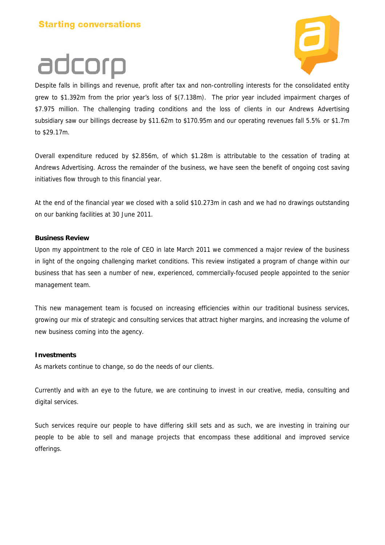#### **Starting conversations**





Despite falls in billings and revenue, profit after tax and non-controlling interests for the consolidated entity grew to \$1.392m from the prior year's loss of \$(7.138m). The prior year included impairment charges of \$7.975 million. The challenging trading conditions and the loss of clients in our Andrews Advertising subsidiary saw our billings decrease by \$11.62m to \$170.95m and our operating revenues fall 5.5% or \$1.7m to \$29.17m.

Overall expenditure reduced by \$2.856m, of which \$1.28m is attributable to the cessation of trading at Andrews Advertising. Across the remainder of the business, we have seen the benefit of ongoing cost saving initiatives flow through to this financial year.

At the end of the financial year we closed with a solid \$10.273m in cash and we had no drawings outstanding on our banking facilities at 30 June 2011.

#### **Business Review**

Upon my appointment to the role of CEO in late March 2011 we commenced a major review of the business in light of the ongoing challenging market conditions. This review instigated a program of change within our business that has seen a number of new, experienced, commercially-focused people appointed to the senior management team.

This new management team is focused on increasing efficiencies within our traditional business services, growing our mix of strategic and consulting services that attract higher margins, and increasing the volume of new business coming into the agency.

#### **Investments**

As markets continue to change, so do the needs of our clients.

Currently and with an eye to the future, we are continuing to invest in our creative, media, consulting and digital services.

Such services require our people to have differing skill sets and as such, we are investing in training our people to be able to sell and manage projects that encompass these additional and improved service offerings.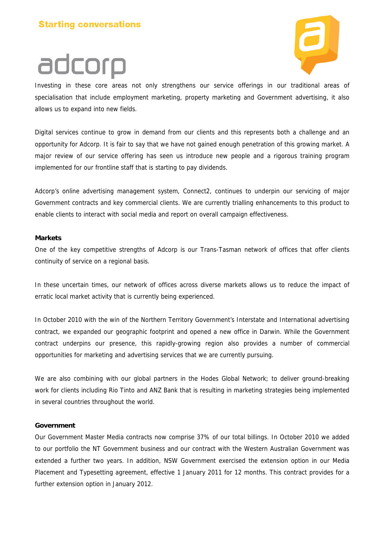## adcorp

Investing in these core areas not only strengthens our service offerings in our traditional areas of specialisation that include employment marketing, property marketing and Government advertising, it also allows us to expand into new fields.

Digital services continue to grow in demand from our clients and this represents both a challenge and an opportunity for Adcorp. It is fair to say that we have not gained enough penetration of this growing market. A major review of our service offering has seen us introduce new people and a rigorous training program implemented for our frontline staff that is starting to pay dividends.

Adcorp's online advertising management system, Connect2, continues to underpin our servicing of major Government contracts and key commercial clients. We are currently trialling enhancements to this product to enable clients to interact with social media and report on overall campaign effectiveness.

#### **Markets**

One of the key competitive strengths of Adcorp is our Trans-Tasman network of offices that offer clients continuity of service on a regional basis.

In these uncertain times, our network of offices across diverse markets allows us to reduce the impact of erratic local market activity that is currently being experienced.

In October 2010 with the win of the Northern Territory Government's Interstate and International advertising contract, we expanded our geographic footprint and opened a new office in Darwin. While the Government contract underpins our presence, this rapidly-growing region also provides a number of commercial opportunities for marketing and advertising services that we are currently pursuing.

We are also combining with our global partners in the Hodes Global Network; to deliver ground-breaking work for clients including Rio Tinto and ANZ Bank that is resulting in marketing strategies being implemented in several countries throughout the world.

#### **Government**

Our Government Master Media contracts now comprise 37% of our total billings. In October 2010 we added to our portfolio the NT Government business and our contract with the Western Australian Government was extended a further two years. In addition, NSW Government exercised the extension option in our Media Placement and Typesetting agreement, effective 1 January 2011 for 12 months. This contract provides for a further extension option in January 2012.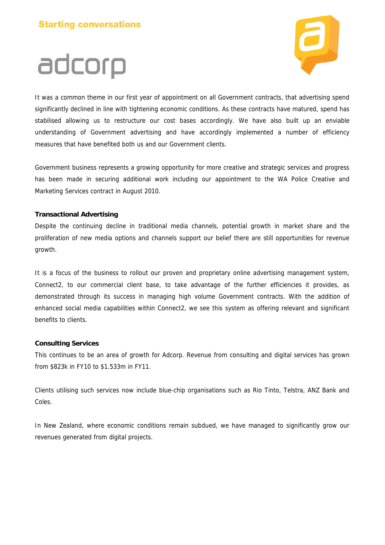

### adcorp It was a common theme in our first year of appointment on all Government contracts, that advertising spend significantly declined in line with tightening economic conditions. As these contracts have matured, spend has stabilised allowing us to restructure our cost bases accordingly. We have also built up an enviable understanding of Government advertising and have accordingly implemented a number of efficiency measures that have benefited both us and our Government clients.

Government business represents a growing opportunity for more creative and strategic services and progress has been made in securing additional work including our appointment to the WA Police Creative and Marketing Services contract in August 2010.

#### **Transactional Advertising**

Despite the continuing decline in traditional media channels, potential growth in market share and the proliferation of new media options and channels support our belief there are still opportunities for revenue growth.

It is a focus of the business to rollout our proven and proprietary online advertising management system, Connect2, to our commercial client base, to take advantage of the further efficiencies it provides, as demonstrated through its success in managing high volume Government contracts. With the addition of enhanced social media capabilities within Connect2, we see this system as offering relevant and significant benefits to clients.

#### **Consulting Services**

This continues to be an area of growth for Adcorp. Revenue from consulting and digital services has grown from \$823k in FY10 to \$1.533m in FY11.

Clients utilising such services now include blue-chip organisations such as Rio Tinto, Telstra, ANZ Bank and Coles.

In New Zealand, where economic conditions remain subdued, we have managed to significantly grow our revenues generated from digital projects.